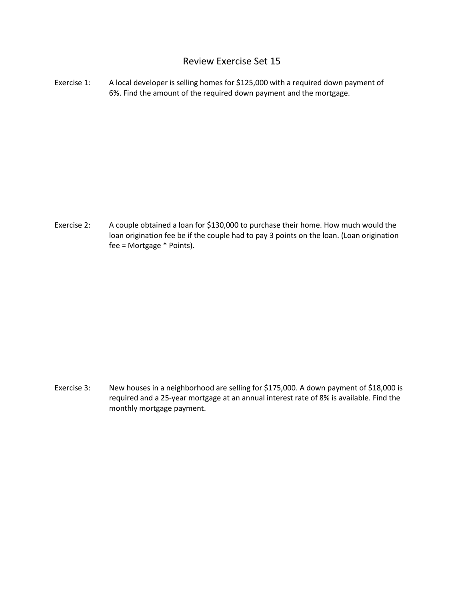## Review Exercise Set 15

Exercise 1: A local developer is selling homes for \$125,000 with a required down payment of 6%. Find the amount of the required down payment and the mortgage.

Exercise 2: A couple obtained a loan for \$130,000 to purchase their home. How much would the loan origination fee be if the couple had to pay 3 points on the loan. (Loan origination fee = Mortgage \* Points).

Exercise 3: New houses in a neighborhood are selling for \$175,000. A down payment of \$18,000 is required and a 25-year mortgage at an annual interest rate of 8% is available. Find the monthly mortgage payment.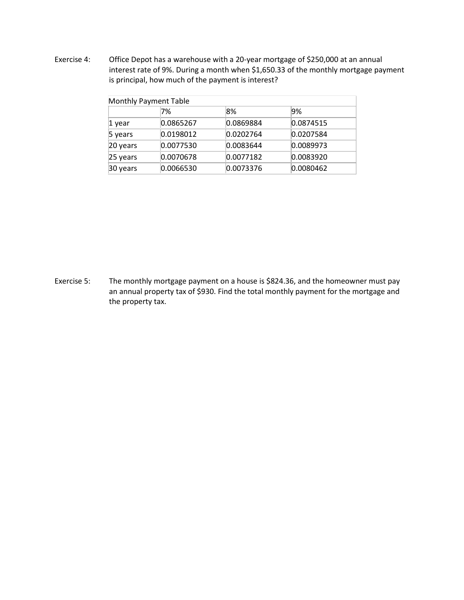Exercise 4: Office Depot has a warehouse with a 20-year mortgage of \$250,000 at an annual interest rate of 9%. During a month when \$1,650.33 of the monthly mortgage payment is principal, how much of the payment is interest?

| <b>Monthly Payment Table</b> |           |           |           |  |
|------------------------------|-----------|-----------|-----------|--|
|                              | 7%        | 8%        | 9%        |  |
| 1 year                       | 0.0865267 | 0.0869884 | 0.0874515 |  |
| 5 years                      | 0.0198012 | 0.0202764 | 0.0207584 |  |
| 20 years                     | 0.0077530 | 0.0083644 | 0.0089973 |  |
| 25 years                     | 0.0070678 | 0.0077182 | 0.0083920 |  |
| 30 years                     | 0.0066530 | 0.0073376 | 0.0080462 |  |

Exercise 5: The monthly mortgage payment on a house is \$824.36, and the homeowner must pay an annual property tax of \$930. Find the total monthly payment for the mortgage and the property tax.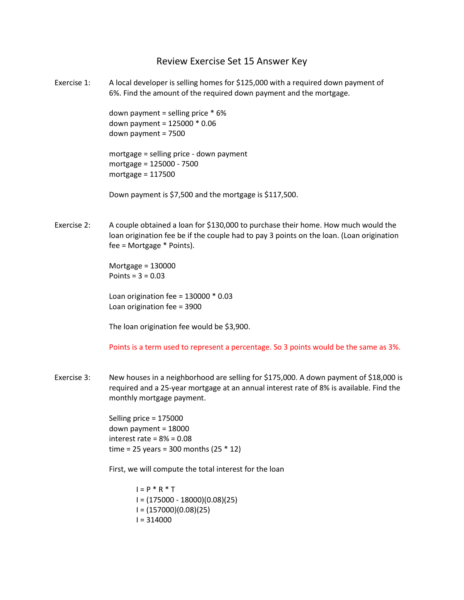## Review Exercise Set 15 Answer Key

Exercise 1: A local developer is selling homes for \$125,000 with a required down payment of 6%. Find the amount of the required down payment and the mortgage.

> down payment = selling price \* 6% down payment = 125000 \* 0.06 down payment = 7500

mortgage = selling price - down payment mortgage = 125000 - 7500 mortgage = 117500

Down payment is \$7,500 and the mortgage is \$117,500.

Exercise 2: A couple obtained a loan for \$130,000 to purchase their home. How much would the loan origination fee be if the couple had to pay 3 points on the loan. (Loan origination fee = Mortgage \* Points).

> Mortgage = 130000 Points =  $3 = 0.03$

Loan origination fee = 130000 \* 0.03 Loan origination fee = 3900

The loan origination fee would be \$3,900.

Points is a term used to represent a percentage. So 3 points would be the same as 3%.

Exercise 3: New houses in a neighborhood are selling for \$175,000. A down payment of \$18,000 is required and a 25-year mortgage at an annual interest rate of 8% is available. Find the monthly mortgage payment.

> Selling price = 175000 down payment = 18000 interest rate = 8% = 0.08 time = 25 years = 300 months (25 \* 12)

First, we will compute the total interest for the loan

 $I = P * R * T$ I = (175000 - 18000)(0.08)(25) I = (157000)(0.08)(25)  $I = 314000$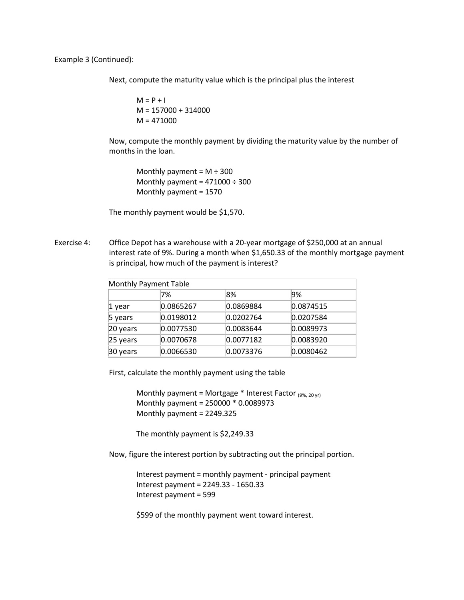Example 3 (Continued):

Next, compute the maturity value which is the principal plus the interest

 $M = P + I$  $M = 157000 + 314000$  $M = 471000$ 

Now, compute the monthly payment by dividing the maturity value by the number of months in the loan.

Monthly payment =  $M \div 300$ Monthly payment =  $471000 \div 300$ Monthly payment = 1570

The monthly payment would be \$1,570.

Exercise 4: Office Depot has a warehouse with a 20-year mortgage of \$250,000 at an annual interest rate of 9%. During a month when \$1,650.33 of the monthly mortgage payment is principal, how much of the payment is interest?

| Monthly Payment Table |           |           |           |  |
|-----------------------|-----------|-----------|-----------|--|
|                       | 7%        | 8%        | 9%        |  |
| 1 year                | 0.0865267 | 0.0869884 | 0.0874515 |  |
| 5 years               | 0.0198012 | 0.0202764 | 0.0207584 |  |
| 20 years              | 0.0077530 | 0.0083644 | 0.0089973 |  |
| 25 years              | 0.0070678 | 0.0077182 | 0.0083920 |  |
| 30 years              | 0.0066530 | 0.0073376 | 0.0080462 |  |

First, calculate the monthly payment using the table

Monthly payment = Mortgage  $*$  Interest Factor  $_{(9\%, 20 \text{ yr})}$ Monthly payment = 250000 \* 0.0089973 Monthly payment = 2249.325

The monthly payment is \$2,249.33

Now, figure the interest portion by subtracting out the principal portion.

Interest payment = monthly payment - principal payment Interest payment = 2249.33 - 1650.33 Interest payment = 599

\$599 of the monthly payment went toward interest.